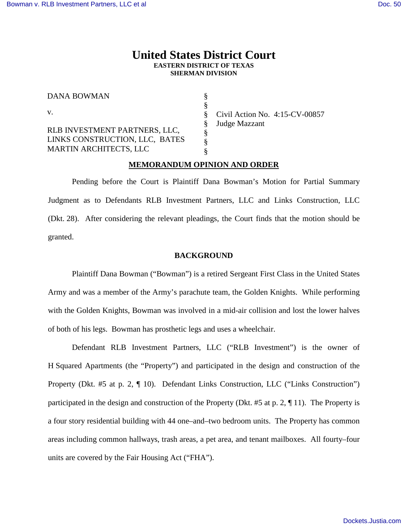## **United States District Court EASTERN DISTRICT OF TEXAS SHERMAN DIVISION**

§ § § § § § §

DANA BOWMAN

v.

RLB INVESTMENT PARTNERS, LLC, LINKS CONSTRUCTION, LLC, BATES MARTIN ARCHITECTS, LLC

Civil Action No. 4:15-CV-00857 Judge Mazzant

## **MEMORANDUM OPINION AND ORDER**

Pending before the Court is Plaintiff Dana Bowman's Motion for Partial Summary Judgment as to Defendants RLB Investment Partners, LLC and Links Construction, LLC (Dkt. 28). After considering the relevant pleadings, the Court finds that the motion should be granted.

## **BACKGROUND**

Plaintiff Dana Bowman ("Bowman") is a retired Sergeant First Class in the United States Army and was a member of the Army's parachute team, the Golden Knights. While performing with the Golden Knights, Bowman was involved in a mid-air collision and lost the lower halves of both of his legs. Bowman has prosthetic legs and uses a wheelchair.

Defendant RLB Investment Partners, LLC ("RLB Investment") is the owner of H Squared Apartments (the "Property") and participated in the design and construction of the Property (Dkt. #5 at p. 2, ¶ 10). Defendant Links Construction, LLC ("Links Construction") participated in the design and construction of the Property (Dkt. #5 at p. 2, ¶ 11). The Property is a four story residential building with 44 one–and–two bedroom units. The Property has common areas including common hallways, trash areas, a pet area, and tenant mailboxes. All fourty–four units are covered by the Fair Housing Act ("FHA").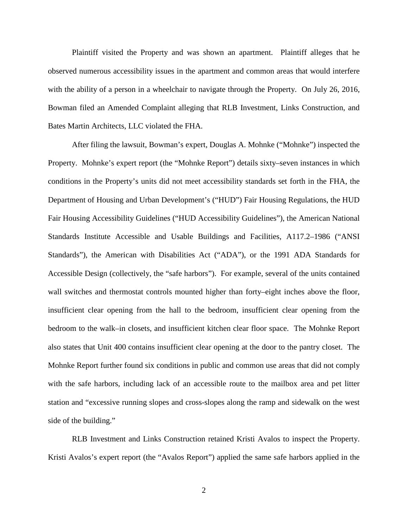Plaintiff visited the Property and was shown an apartment. Plaintiff alleges that he observed numerous accessibility issues in the apartment and common areas that would interfere with the ability of a person in a wheelchair to navigate through the Property. On July 26, 2016, Bowman filed an Amended Complaint alleging that RLB Investment, Links Construction, and Bates Martin Architects, LLC violated the FHA.

After filing the lawsuit, Bowman's expert, Douglas A. Mohnke ("Mohnke") inspected the Property. Mohnke's expert report (the "Mohnke Report") details sixty–seven instances in which conditions in the Property's units did not meet accessibility standards set forth in the FHA, the Department of Housing and Urban Development's ("HUD") Fair Housing Regulations, the HUD Fair Housing Accessibility Guidelines ("HUD Accessibility Guidelines"), the American National Standards Institute Accessible and Usable Buildings and Facilities, A117.2–1986 ("ANSI Standards"), the American with Disabilities Act ("ADA"), or the 1991 ADA Standards for Accessible Design (collectively, the "safe harbors"). For example, several of the units contained wall switches and thermostat controls mounted higher than forty–eight inches above the floor, insufficient clear opening from the hall to the bedroom, insufficient clear opening from the bedroom to the walk–in closets, and insufficient kitchen clear floor space. The Mohnke Report also states that Unit 400 contains insufficient clear opening at the door to the pantry closet. The Mohnke Report further found six conditions in public and common use areas that did not comply with the safe harbors, including lack of an accessible route to the mailbox area and pet litter station and "excessive running slopes and cross-slopes along the ramp and sidewalk on the west side of the building."

RLB Investment and Links Construction retained Kristi Avalos to inspect the Property. Kristi Avalos's expert report (the "Avalos Report") applied the same safe harbors applied in the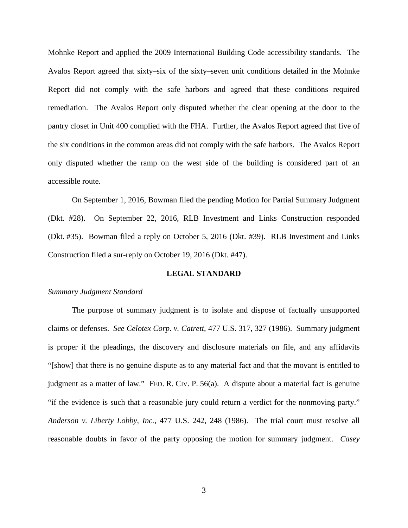Mohnke Report and applied the 2009 International Building Code accessibility standards. The Avalos Report agreed that sixty–six of the sixty–seven unit conditions detailed in the Mohnke Report did not comply with the safe harbors and agreed that these conditions required remediation. The Avalos Report only disputed whether the clear opening at the door to the pantry closet in Unit 400 complied with the FHA. Further, the Avalos Report agreed that five of the six conditions in the common areas did not comply with the safe harbors. The Avalos Report only disputed whether the ramp on the west side of the building is considered part of an accessible route.

On September 1, 2016, Bowman filed the pending Motion for Partial Summary Judgment (Dkt. #28). On September 22, 2016, RLB Investment and Links Construction responded (Dkt. #35). Bowman filed a reply on October 5, 2016 (Dkt. #39). RLB Investment and Links Construction filed a sur-reply on October 19, 2016 (Dkt. #47).

## **LEGAL STANDARD**

#### *Summary Judgment Standard*

The purpose of summary judgment is to isolate and dispose of factually unsupported claims or defenses. *See Celotex Corp. v. Catrett*, 477 U.S. 317, 327 (1986). Summary judgment is proper if the pleadings, the discovery and disclosure materials on file, and any affidavits "[show] that there is no genuine dispute as to any material fact and that the movant is entitled to judgment as a matter of law." FED. R. CIV. P. 56(a). A dispute about a material fact is genuine "if the evidence is such that a reasonable jury could return a verdict for the nonmoving party." *Anderson v. Liberty Lobby, Inc.*, 477 U.S. 242, 248 (1986). The trial court must resolve all reasonable doubts in favor of the party opposing the motion for summary judgment. *Casey*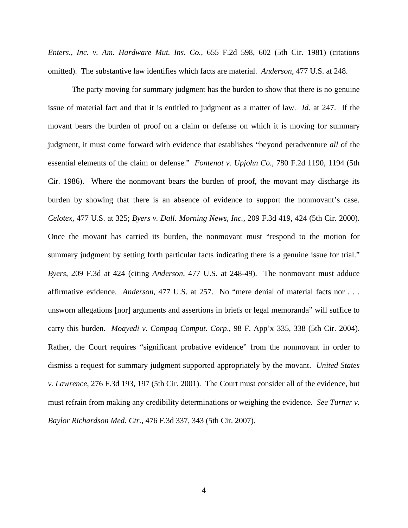*Enters., Inc. v. Am. Hardware Mut. Ins. Co.*, 655 F.2d 598, 602 (5th Cir. 1981) (citations omitted). The substantive law identifies which facts are material. *Anderson*, 477 U.S. at 248.

The party moving for summary judgment has the burden to show that there is no genuine issue of material fact and that it is entitled to judgment as a matter of law. *Id.* at 247. If the movant bears the burden of proof on a claim or defense on which it is moving for summary judgment, it must come forward with evidence that establishes "beyond peradventure *all* of the essential elements of the claim or defense." *Fontenot v. Upjohn Co.*, 780 F.2d 1190, 1194 (5th Cir. 1986). Where the nonmovant bears the burden of proof, the movant may discharge its burden by showing that there is an absence of evidence to support the nonmovant's case. *Celotex*, 477 U.S. at 325; *Byers v. Dall. Morning News, Inc.*, 209 F.3d 419, 424 (5th Cir. 2000). Once the movant has carried its burden, the nonmovant must "respond to the motion for summary judgment by setting forth particular facts indicating there is a genuine issue for trial." *Byers*, 209 F.3d at 424 (citing *Anderson*, 477 U.S. at 248-49). The nonmovant must adduce affirmative evidence. *Anderson*, 477 U.S. at 257. No "mere denial of material facts nor . . . unsworn allegations [nor] arguments and assertions in briefs or legal memoranda" will suffice to carry this burden. *Moayedi v. Compaq Comput. Corp*., 98 F. App'x 335, 338 (5th Cir. 2004). Rather, the Court requires "significant probative evidence" from the nonmovant in order to dismiss a request for summary judgment supported appropriately by the movant. *United States v. Lawrence*, 276 F.3d 193, 197 (5th Cir. 2001). The Court must consider all of the evidence, but must refrain from making any credibility determinations or weighing the evidence. *See Turner v. Baylor Richardson Med. Ctr.*, 476 F.3d 337, 343 (5th Cir. 2007).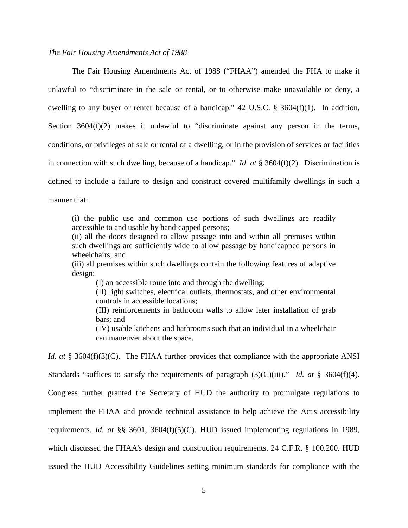## *The Fair Housing Amendments Act of 1988*

The Fair Housing Amendments Act of 1988 ("FHAA") amended the FHA to make it unlawful to "discriminate in the sale or rental, or to otherwise make unavailable or deny, a dwelling to any buyer or renter because of a handicap."  $42 \text{ U.S.C. }$  \$ 3604(f)(1). In addition, Section 3604(f)(2) makes it unlawful to "discriminate against any person in the terms, conditions, or privileges of sale or rental of a dwelling, or in the provision of services or facilities in connection with such dwelling, because of a handicap." *Id. at* § 3604(f)(2). Discrimination is defined to include a failure to design and construct covered multifamily dwellings in such a manner that:

(i) the public use and common use portions of such dwellings are readily accessible to and usable by handicapped persons;

(ii) all the doors designed to allow passage into and within all premises within such dwellings are sufficiently wide to allow passage by handicapped persons in wheelchairs; and

(iii) all premises within such dwellings contain the following features of adaptive design:

(I) an accessible route into and through the dwelling;

(II) light switches, electrical outlets, thermostats, and other environmental controls in accessible locations;

(III) reinforcements in bathroom walls to allow later installation of grab bars; and

(IV) usable kitchens and bathrooms such that an individual in a wheelchair can maneuver about the space.

*Id. at* § 3604(f)(3)(C). The FHAA further provides that compliance with the appropriate ANSI Standards "suffices to satisfy the requirements of paragraph (3)(C)(iii)." *Id. at* § 3604(f)(4). Congress further granted the Secretary of HUD the authority to promulgate regulations to implement the FHAA and provide technical assistance to help achieve the Act's accessibility

requirements. *Id. at* §§ 3601, 3604(f)(5)(C). HUD issued implementing regulations in 1989,

which discussed the FHAA's design and construction requirements. 24 C.F.R. § 100.200. HUD

issued the HUD Accessibility Guidelines setting minimum standards for compliance with the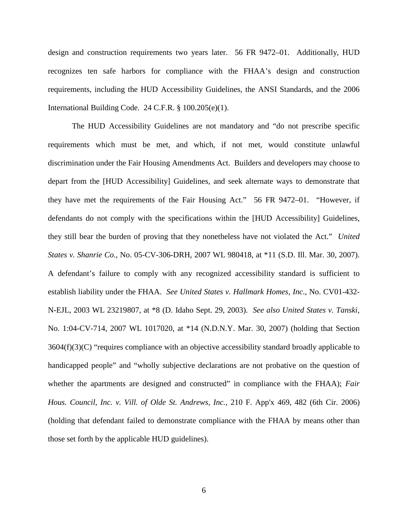design and construction requirements two years later. 56 FR 9472–01. Additionally, HUD recognizes ten safe harbors for compliance with the FHAA's design and construction requirements, including the HUD Accessibility Guidelines, the ANSI Standards, and the 2006 International Building Code. 24 C.F.R. § 100.205(e)(1).

The HUD Accessibility Guidelines are not mandatory and "do not prescribe specific requirements which must be met, and which, if not met, would constitute unlawful discrimination under the Fair Housing Amendments Act. Builders and developers may choose to depart from the [HUD Accessibility] Guidelines, and seek alternate ways to demonstrate that they have met the requirements of the Fair Housing Act." 56 FR 9472–01. "However, if defendants do not comply with the specifications within the [HUD Accessibility] Guidelines, they still bear the burden of proving that they nonetheless have not violated the Act." *United States v. Shanrie Co.*, No. 05-CV-306-DRH, 2007 WL 980418, at \*11 (S.D. Ill. Mar. 30, 2007). A defendant's failure to comply with any recognized accessibility standard is sufficient to establish liability under the FHAA. *See United States v. Hallmark Homes, Inc*., No. CV01-432- N-EJL, 2003 WL 23219807, at \*8 (D. Idaho Sept. 29, 2003). *See also United States v. Tanski,* No. 1:04-CV-714, 2007 WL 1017020, at \*14 (N.D.N.Y. Mar. 30, 2007) (holding that Section  $3604(f)(3)(C)$  "requires compliance with an objective accessibility standard broadly applicable to handicapped people" and "wholly subjective declarations are not probative on the question of whether the apartments are designed and constructed" in compliance with the FHAA); *Fair Hous. Council, Inc. v. Vill. of Olde St. Andrews, Inc.*, 210 F. App'x 469, 482 (6th Cir. 2006) (holding that defendant failed to demonstrate compliance with the FHAA by means other than those set forth by the applicable HUD guidelines).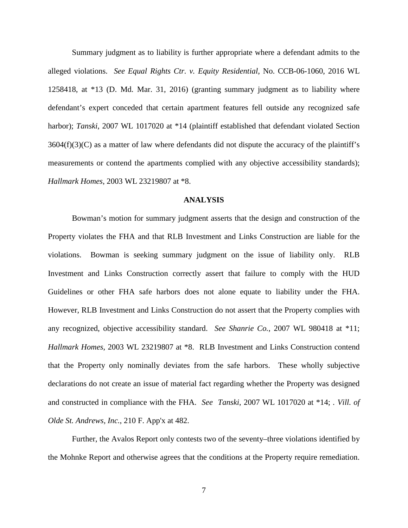Summary judgment as to liability is further appropriate where a defendant admits to the alleged violations. *See Equal Rights Ctr. v. Equity Residential*, No. CCB-06-1060, 2016 WL 1258418, at \*13 (D. Md. Mar. 31, 2016) (granting summary judgment as to liability where defendant's expert conceded that certain apartment features fell outside any recognized safe harbor); *Tanski*, 2007 WL 1017020 at \*14 (plaintiff established that defendant violated Section 3604(f)(3)(C) as a matter of law where defendants did not dispute the accuracy of the plaintiff's measurements or contend the apartments complied with any objective accessibility standards); *Hallmark Homes*, 2003 WL 23219807 at \*8.

## **ANALYSIS**

Bowman's motion for summary judgment asserts that the design and construction of the Property violates the FHA and that RLB Investment and Links Construction are liable for the violations. Bowman is seeking summary judgment on the issue of liability only. RLB Investment and Links Construction correctly assert that failure to comply with the HUD Guidelines or other FHA safe harbors does not alone equate to liability under the FHA. However, RLB Investment and Links Construction do not assert that the Property complies with any recognized, objective accessibility standard. *See Shanrie Co.*, 2007 WL 980418 at \*11; *Hallmark Homes*, 2003 WL 23219807 at \*8. RLB Investment and Links Construction contend that the Property only nominally deviates from the safe harbors. These wholly subjective declarations do not create an issue of material fact regarding whether the Property was designed and constructed in compliance with the FHA. *See Tanski*, 2007 WL 1017020 at \*14; *. Vill. of Olde St. Andrews, Inc.*, 210 F. App'x at 482.

Further, the Avalos Report only contests two of the seventy–three violations identified by the Mohnke Report and otherwise agrees that the conditions at the Property require remediation.